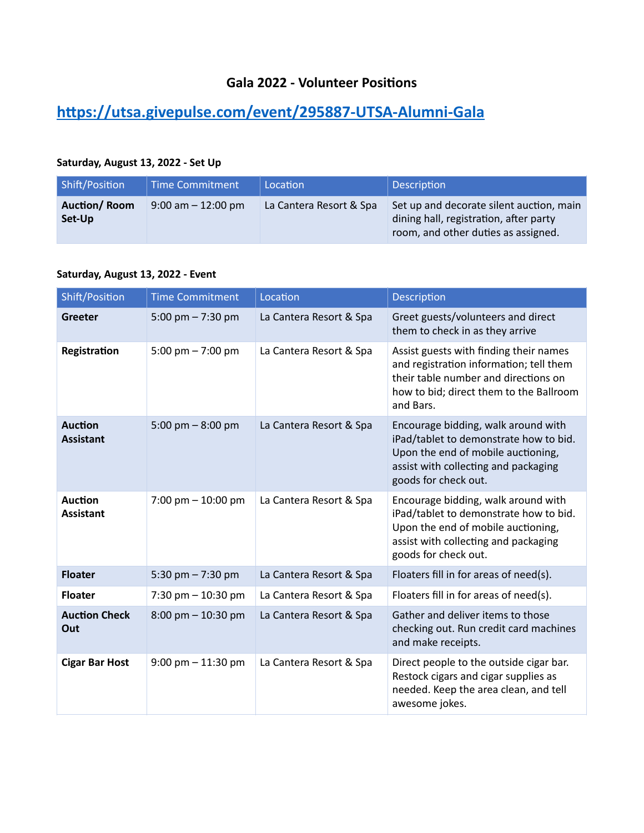## **Gala 2022 - Volunteer Positions**

## **<https://utsa.givepulse.com/event/295887-UTSA-Alumni-Gala>**

## **Saturday, August 13, 2022 - Set Up**

| Shift/Position                | Time Commitment       | Location                | <b>Description</b>                                                                                                        |
|-------------------------------|-----------------------|-------------------------|---------------------------------------------------------------------------------------------------------------------------|
| <b>Auction/Room</b><br>Set-Up | $9:00$ am $-12:00$ pm | La Cantera Resort & Spa | Set up and decorate silent auction, main<br>dining hall, registration, after party<br>room, and other duties as assigned. |

## **Saturday, August 13, 2022 - Event**

| Shift/Position                     | <b>Time Commitment</b>               | Location                | Description                                                                                                                                                                         |
|------------------------------------|--------------------------------------|-------------------------|-------------------------------------------------------------------------------------------------------------------------------------------------------------------------------------|
| <b>Greeter</b>                     | 5:00 pm $- 7:30$ pm                  | La Cantera Resort & Spa | Greet guests/volunteers and direct<br>them to check in as they arrive                                                                                                               |
| Registration                       | 5:00 pm $- 7:00$ pm                  | La Cantera Resort & Spa | Assist guests with finding their names<br>and registration information; tell them<br>their table number and directions on<br>how to bid; direct them to the Ballroom<br>and Bars.   |
| <b>Auction</b><br><b>Assistant</b> | 5:00 pm $-$ 8:00 pm                  | La Cantera Resort & Spa | Encourage bidding, walk around with<br>iPad/tablet to demonstrate how to bid.<br>Upon the end of mobile auctioning,<br>assist with collecting and packaging<br>goods for check out. |
| <b>Auction</b><br><b>Assistant</b> | 7:00 pm $-$ 10:00 pm                 | La Cantera Resort & Spa | Encourage bidding, walk around with<br>iPad/tablet to demonstrate how to bid.<br>Upon the end of mobile auctioning,<br>assist with collecting and packaging<br>goods for check out. |
| <b>Floater</b>                     | 5:30 pm $- 7:30$ pm                  | La Cantera Resort & Spa | Floaters fill in for areas of need(s).                                                                                                                                              |
| <b>Floater</b>                     | 7:30 pm $-$ 10:30 pm                 | La Cantera Resort & Spa | Floaters fill in for areas of need(s).                                                                                                                                              |
| <b>Auction Check</b><br>Out        | $8:00 \text{ pm} - 10:30 \text{ pm}$ | La Cantera Resort & Spa | Gather and deliver items to those<br>checking out. Run credit card machines<br>and make receipts.                                                                                   |
| <b>Cigar Bar Host</b>              | $9:00$ pm $-11:30$ pm                | La Cantera Resort & Spa | Direct people to the outside cigar bar.<br>Restock cigars and cigar supplies as<br>needed. Keep the area clean, and tell<br>awesome jokes.                                          |